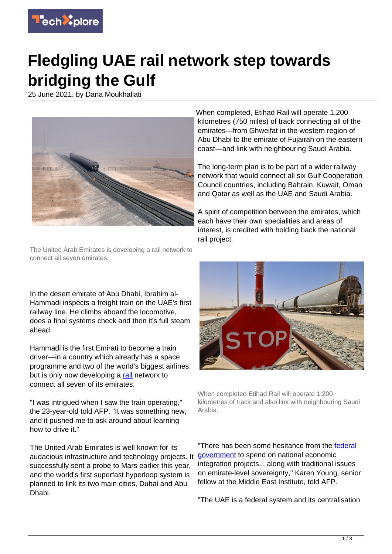

## **Fledgling UAE rail network step towards bridging the Gulf**

25 June 2021, by Dana Moukhallati



The United Arab Emirates is developing a rail network to connect all seven emirates.

In the desert emirate of Abu Dhabi, Ibrahim al-Hammadi inspects a freight train on the UAE's first railway line. He climbs aboard the locomotive, does a final systems check and then it's full steam ahead.

Hammadi is the first Emirati to become a train driver—in a country which already has a space programme and two of the world's biggest airlines, but is only now developing a [rail](https://techxplore.com/tags/rail/) network to connect all seven of its emirates.

"I was intrigued when I saw the train operating," the 23-year-old told AFP. "It was something new, and it pushed me to ask around about learning how to drive it."

The United Arab Emirates is well known for its audacious infrastructure and technology projects. It successfully sent a probe to Mars earlier this year, and the world's first superfast hyperloop system is planned to link its two main cities, Dubai and Abu Dhabi.

When completed, Etihad Rail will operate 1,200 kilometres (750 miles) of track connecting all of the emirates—from Ghweifat in the western region of Abu Dhabi to the emirate of Fujairah on the eastern coast—and link with neighbouring Saudi Arabia.

The long-term plan is to be part of a wider railway network that would connect all six Gulf Cooperation Council countries, including Bahrain, Kuwait, Oman and Qatar as well as the UAE and Saudi Arabia.

A spirit of competition between the emirates, which each have their own specialities and areas of interest, is credited with holding back the national rail project.



When completed Etihad Rail will operate 1,200 kilometres of track and also link with neighbouring Saudi Arabia.

"There has been some hesitance from the [federal](https://techxplore.com/tags/federal+government/) [government](https://techxplore.com/tags/federal+government/) to spend on national economic integration projects... along with traditional issues on emirate-level sovereignty," Karen Young, senior fellow at the Middle East Institute, told AFP.

"The UAE is a federal system and its centralisation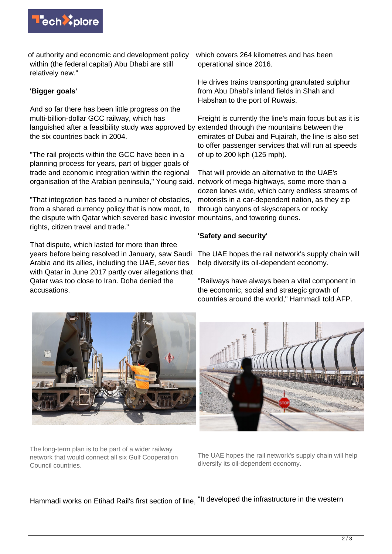

of authority and economic and development policy within (the federal capital) Abu Dhabi are still relatively new."

## **'Bigger goals'**

And so far there has been little progress on the multi-billion-dollar GCC railway, which has languished after a feasibility study was approved by extended through the mountains between the the six countries back in 2004.

"The rail projects within the GCC have been in a planning process for years, part of bigger goals of trade and economic integration within the regional organisation of the Arabian peninsula," Young said.

"That integration has faced a number of obstacles, from a shared currency policy that is now moot, to the dispute with Qatar which severed basic investor mountains, and towering dunes. rights, citizen travel and trade."

That dispute, which lasted for more than three years before being resolved in January, saw Saudi Arabia and its allies, including the UAE, sever ties with Qatar in June 2017 partly over allegations that Qatar was too close to Iran. Doha denied the accusations.

which covers 264 kilometres and has been operational since 2016.

He drives trains transporting granulated sulphur from Abu Dhabi's inland fields in Shah and Habshan to the port of Ruwais.

Freight is currently the line's main focus but as it is emirates of Dubai and Fujairah, the line is also set to offer passenger services that will run at speeds of up to 200 kph (125 mph).

That will provide an alternative to the UAE's network of mega-highways, some more than a dozen lanes wide, which carry endless streams of motorists in a car-dependent nation, as they zip through canyons of skyscrapers or rocky

## **'Safety and security'**

The UAE hopes the rail network's supply chain will help diversify its oil-dependent economy.

"Railways have always been a vital component in the economic, social and strategic growth of countries around the world," Hammadi told AFP.





The long-term plan is to be part of a wider railway network that would connect all six Gulf Cooperation Council countries.

The UAE hopes the rail network's supply chain will help diversify its oil-dependent economy.

Hammadi works on Etihad Rail's first section of line, "It developed the infrastructure in the western